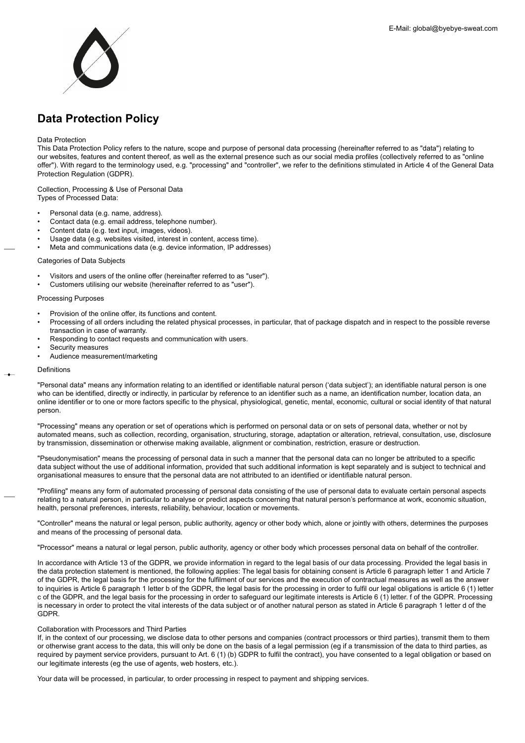<span id="page-0-0"></span>

# **Data Protection Policy**

## Data Protection

This Data Protection Policy refers to the nature, scope and purpose of personal data processing (hereinafter referred to as "data") relating to our websites, features and content thereof, as well as the external presence such as our social media profiles (collectively referred to as "online offer"). With regard to the terminology used, e.g. "processing" and "controller", we refer to the definitions stimulated in Article 4 of the General Data Protection Regulation (GDPR).

Collection, Processing & Use of Personal Data Types of Processed Data:

- Personal data (e.g. name, address).
- Contact data (e.g. email address, telephone number).
- Content data (e.g. text input, images, videos).
- Usage data (e.g. websites visited, interest in content, access time).
- Meta and communications data (e.g. device information, IP addresses)

## Categories of Data Subjects

- Visitors and users of the online offer (hereinafter referred to as "user").
- Customers utilising our website (hereinafter referred to as "user").

# Processing Purposes

- Provision of the online offer, its functions and content.
- Processing of all orders including the related physical processes, in particular, that of package dispatch and in respect to the possible reverse transaction in case of warranty.
- Responding to contact requests and communication with users.
- Security measures
- Audience measurement/marketing

#### Definitions

"Personal data" means any information relating to an identified or identifiable natural person ('data subject'); an identifiable natural person is one who can be identified, directly or indirectly, in particular by reference to an identifier such as a name, an identification number, location data, an online identifier or to one or more factors specific to the physical, physiological, genetic, mental, economic, cultural or social identity of that natural person.

"Processing" means any operation or set of operations which is performed on personal data or on sets of personal data, whether or not by automated means, such as collection, recording, organisation, structuring, storage, adaptation or alteration, retrieval, consultation, use, disclosure by transmission, dissemination or otherwise making available, alignment or combination, restriction, erasure or destruction.

"Pseudonymisation" means the processing of personal data in such a manner that the personal data can no longer be attributed to a specific data subject without the use of additional information, provided that such additional information is kept separately and is subject to technical and organisational measures to ensure that the personal data are not attributed to an identified or identifiable natural person.

"Profiling" means any form of automated processing of personal data consisting of the use of personal data to evaluate certain personal aspects relating to a natural person, in particular to analyse or predict aspects concerning that natural person's performance at work, economic situation, health, personal preferences, interests, reliability, behaviour, location or movements.

"Controller" means the natural or legal person, public authority, agency or other body which, alone or jointly with others, determines the purposes and means of the processing of personal data.

"Processor" means a natural or legal person, public authority, agency or other body which processes personal data on behalf of the controller.

In accordance with Article 13 of the GDPR, we provide information in regard to the legal basis of our data processing. Provided the legal basis in the data protection statement is mentioned, the following applies: The legal basis for obtaining consent is Article 6 paragraph letter 1 and Article 7 of the GDPR, the legal basis for the processing for the fulfilment of our services and the execution of contractual measures as well as the answer to inquiries is Article 6 paragraph 1 letter b of the GDPR, the legal basis for the processing in order to fulfil our legal obligations is article 6 (1) letter c of the GDPR, and the legal basis for the processing in order to safeguard our legitimate interests is Article 6 (1) letter. f of the GDPR. Processing is necessary in order to protect the vital interests of the data subject or of another natural person as stated in Article 6 paragraph 1 letter d of the GDPR.

## Collaboration with Processors and Third Parties

If, in the context of our processing, we disclose data to other persons and companies (contract processors or third parties), transmit them to them or otherwise grant access to the data, this will only be done on the basis of a legal permission (eg if a transmission of the data to third parties, as required by payment service providers, pursuant to Art. 6 (1) (b) GDPR to fulfil the contract), you have consented to a legal obligation or based on our legitimate interests (eg the use of agents, web hosters, etc.).

Your data will be processed, in particular, to order processing in respect to payment and shipping services.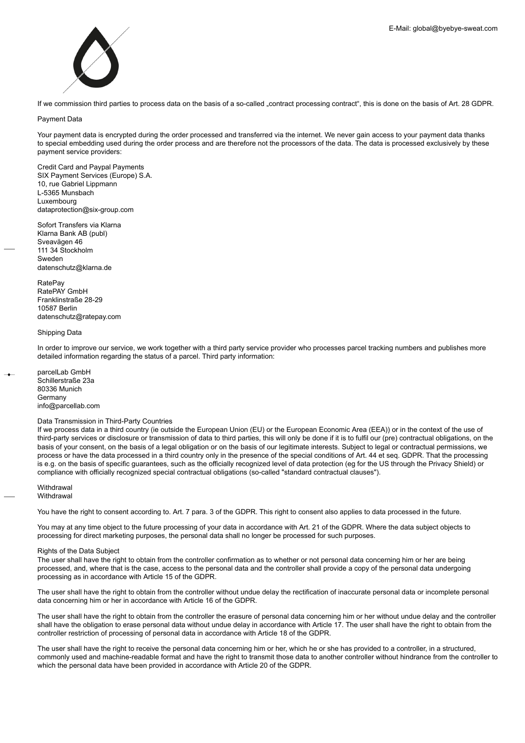

If we commission third parties to process data on the basis of a so-called "contract processing contract", this is done on the basis of Art. 28 GDPR.

## Payment Data

Your payment data is encrypted during the order processed and transferred via the internet. We never gain access to your payment data thanks to special embedding used during the order process and are therefore not the processors of the data. The data is processed exclusively by these payment service providers:

Credit Card and Paypal Payments SIX Payment Services (Europe) S.A. 10, rue Gabriel Lippmann L-5365 Munsbach Luxembourg dataprotection@six-group.com

Sofort Transfers via Klarna Klarna Bank AB (publ) Sveavägen 46 111 34 Stockholm Sweden datenschutz@klarna.de

**RatePay** RatePAY GmbH Franklinstraße 28-29 10587 Berlin datenschutz@ratepay.com

# Shipping Data

In order to improve our service, we work together with a third party service provider who processes parcel tracking numbers and publishes more detailed information regarding the status of a parcel. Third party information:

parcelLab GmbH Schillerstraße 23a 80336 Munich **Germany** info@parcellab.com

# Data Transmission in Third-Party Countries

If we process data in a third country (ie outside the European Union (EU) or the European Economic Area (EEA)) or in the context of the use of third-party services or disclosure or transmission of data to third parties, this will only be done if it is to fulfil our (pre) contractual obligations, on the basis of your consent, on the basis of a legal obligation or on the basis of our legitimate interests. Subject to legal or contractual permissions, we process or have the data processed in a third country only in the presence of the special conditions of Art. 44 et seq. GDPR. That the processing is e.g. on the basis of specific guarantees, such as the officially recognized level of data protection (eg for the US through the Privacy Shield) or compliance with officially recognized special contractual obligations (so-called "standard contractual clauses").

**Withdrawal Withdrawal** 

You have the right to consent according to. Art. 7 para. 3 of the GDPR. This right to consent also applies to data processed in the future.

You may at any time object to the future processing of your data in accordance with Art. 21 of the GDPR. Where the data subject objects to processing for direct marketing purposes, the personal data shall no longer be processed for such purposes.

## Rights of the Data Subject

The user shall have the right to obtain from the controller confirmation as to whether or not personal data concerning him or her are being processed, and, where that is the case, access to the personal data and the controller shall provide a copy of the personal data undergoing processing as in accordance with Article 15 of the GDPR.

The user shall have the right to obtain from the controller without undue delay the rectification of inaccurate personal data or incomplete personal data concerning him or her in accordance with Article 16 of the GDPR.

The user shall have the right to obtain from the controller the erasure of personal data concerning him or her without undue delay and the controller shall have the obligation to erase personal data without undue delay in accordance with Article 17. The user shall have the right to obtain from the controller restriction of processing of personal data in accordance with Article 18 of the GDPR.

The user shall have the right to receive the personal data concerning him or her, which he or she has provided to a controller, in a structured, commonly used and machine-readable format and have the right to transmit those data to another controller without hindrance from the controller to which the personal data have been provided in accordance with Article 20 of the GDPR.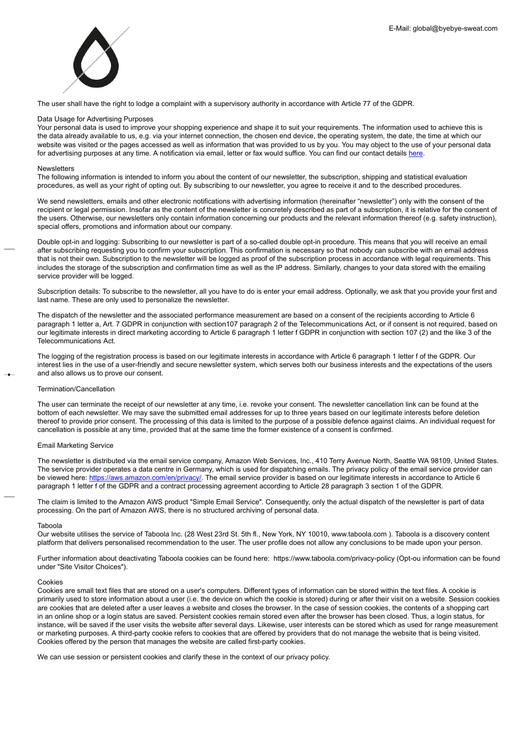

The user shall have the right to lodge a complaint with a supervisory authority in accordance with Article 77 of the GDPR.

## Data Usage for Advertising Purposes

Your personal data is used to improve your shopping experience and shape it to suit your requirements. The information used to achieve this is the data already available to us, e.g. via your internet connection, the chosen end device, the operating system, the date, the time at which our website was visited or the pages accessed as well as information that was provided to us by you. You may object to the use of your personal data for advertising purposes at any time. A notification via email, letter or fax would suffice. You can find our contact details [here](http://https://www.niemehrschwitzen.at/info/kontakt).

# Newsletters

The following information is intended to inform you about the content of our newsletter, the subscription, shipping and statistical evaluation procedures, as well as your right of opting out. By subscribing to our newsletter, you agree to receive it and to the described procedures.

We send newsletters, emails and other electronic notifications with advertising information (hereinafter "newsletter") only with the consent of the recipient or legal permission. Insofar as the content of the newsletter is concretely described as part of a subscription, it is relative for the consent of the users. Otherwise, our newsletters only contain information concerning our products and the relevant information thereof (e.g. safety instruction), special offers, promotions and information about our company.

Double opt-in and logging: Subscribing to our newsletter is part of a so-called double opt-in procedure. This means that you will receive an email after subscribing requesting you to confirm your subscription. This confirmation is necessary so that nobody can subscribe with an email address that is not their own. Subscription to the newsletter will be logged as proof of the subscription process in accordance with legal requirements. This includes the storage of the subscription and confirmation time as well as the IP address. Similarly, changes to your data stored with the emailing service provider will be logged.

Subscription details: To subscribe to the newsletter, all you have to do is enter your email address. Optionally, we ask that you provide your first and last name. These are only used to personalize the newsletter.

The dispatch of the newsletter and the associated performance measurement are based on a consent of the recipients according to Article 6 paragraph 1 letter a, Art. 7 GDPR in conjunction with section107 paragraph 2 of the Telecommunications Act, or if consent is not required, based on our legitimate interests in direct marketing according to Article 6 paragraph 1 letter f GDPR in conjunction with section 107 (2) and the like 3 of the Telecommunications Act.

The logging of the registration process is based on our legitimate interests in accordance with Article 6 paragraph 1 letter f of the GDPR. Our interest lies in the use of a user-friendly and secure newsletter system, which serves both our business interests and the expectations of the users and also allows us to prove our consent.

## Termination/Cancellation

The user can terminate the receipt of our newsletter at any time, i.e. revoke your consent. The newsletter cancellation link can be found at the bottom of each newsletter. We may save the submitted email addresses for up to three years based on our legitimate interests before deletion thereof to provide prior consent. The processing of this data is limited to the purpose of a possible defence against claims. An individual request for cancellation is possible at any time, provided that at the same time the former existence of a consent is confirmed.

## Email Marketing Service

The newsletter is distributed via the email service company, Amazon Web Services, Inc., 410 Terry Avenue North, Seattle WA 98109, United States. The service provider operates a data centre in Germany, which is used for dispatching emails. The privacy policy of the email service provider can be viewed here: [https://aws.amazon.com/en/privacy/](https://aws.amazon.com/privacy/?nc1=h_ls). The email service provider is based on our legitimate interests in accordance to Article 6 paragraph 1 letter f of the GDPR and a contract processing agreement according to Article 28 paragraph 3 section 1 of the GDPR.

The claim is limited to the Amazon AWS product "Simple Email Service". Consequently, only the actual dispatch of the newsletter is part of data processing. On the part of Amazon AWS, there is no structured archiving of personal data.

## Taboola

Our website utilises the service of Taboola Inc. (28 West 23rd St. 5th fl., New York, NY 10010, www.taboola.com ). Taboola is a discovery content platform that delivers personalised recommendation to the user. The user profile does not allow any conclusions to be made upon your person.

Further information about deactivating Taboola cookies can be found here: https://www.taboola.com/privacy-policy (Opt-ou information can be found under "Site Visitor Choices").

## Cookies

Cookies are small text files that are stored on a user's computers. Different types of information can be stored within the text files. A cookie is primarily used to store information about a user (i.e. the device on which the cookie is stored) during or after their visit on a website. Session cookies are cookies that are deleted after a user leaves a website and closes the browser. In the case of session cookies, the contents of a shopping cart in an online shop or a login status are saved. Persistent cookies remain stored even after the browser has been closed. Thus, a login status, for instance, will be saved if the user visits the website after several days. Likewise, user interests can be stored which as used for range measurement or marketing purposes. A third-party cookie refers to cookies that are offered by providers that do not manage the website that is being visited. Cookies offered by the person that manages the website are called first-party cookies.

We can use session or persistent cookies and clarify these in the context of our privacy policy.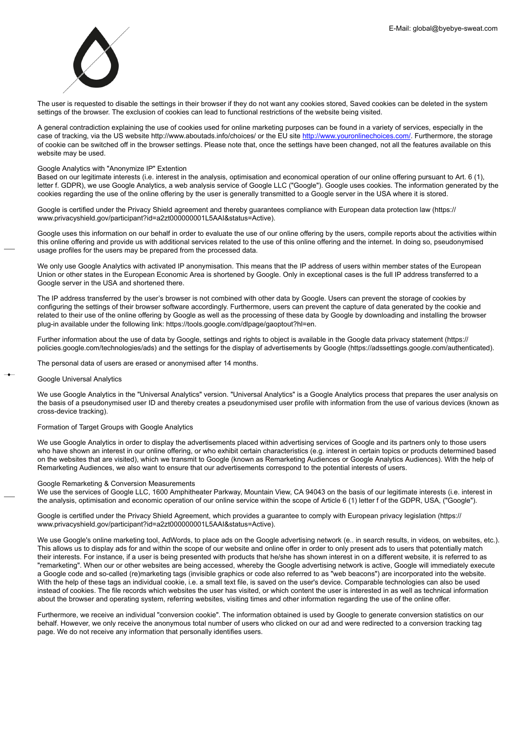

The user is requested to disable the settings in their browser if they do not want any cookies stored, Saved cookies can be deleted in the system settings of the browser. The exclusion of cookies can lead to functional restrictions of the website being visited.

A general contradiction explaining the use of cookies used for online marketing purposes can be found in a variety of services, especially in the case of tracking, via the US website http://www.aboutads.info/choices/ or the EU site [http://www.youronlinechoices.com/](https://www.youronlinechoices.com/). Furthermore, the storage of cookie can be switched off in the browser settings. Please note that, once the settings have been changed, not all the features available on this website may be used.

# Google Analytics with "Anonymize IP" Extention

Based on our legitimate interests (i.e. interest in the analysis, optimisation and economical operation of our online offering pursuant to Art. 6 (1), letter f. GDPR), we use Google Analytics, a web analysis service of Google LLC ("Google"). Google uses cookies. The information generated by the cookies regarding the use of the online offering by the user is generally transmitted to a Google server in the USA where it is stored.

Google is certified under the Privacy Shield agreement and thereby guarantees compliance with European data protection law (https:// www.privacyshield.gov/participant?id=a2zt000000001L5AAI&status=Active).

Google uses this information on our behalf in order to evaluate the use of our online offering by the users, compile reports about the activities within this online offering and provide us with additional services related to the use of this online offering and the internet. In doing so, pseudonymised usage profiles for the users may be prepared from the processed data.

We only use Google Analytics with activated IP anonymisation. This means that the IP address of users within member states of the European Union or other states in the European Economic Area is shortened by Google. Only in exceptional cases is the full IP address transferred to a Google server in the USA and shortened there.

The IP address transferred by the user's browser is not combined with other data by Google. Users can prevent the storage of cookies by configuring the settings of their browser software accordingly. Furthermore, users can prevent the capture of data generated by the cookie and related to their use of the online offering by Google as well as the processing of these data by Google by downloading and installing the browser plug-in available under the following link: https://tools.google.com/dlpage/gaoptout?hl=en.

Further information about the use of data by Google, settings and rights to object is available in the Google data privacy statement (https:// policies.google.com/technologies/ads) and the settings for the display of advertisements by Google (https://adssettings.google.com/authenticated).

The personal data of users are erased or anonymised after 14 months.

# Google Universal Analytics

We use Google Analytics in the "Universal Analytics" version. "Universal Analytics" is a Google Analytics process that prepares the user analysis on the basis of a pseudonymised user ID and thereby creates a pseudonymised user profile with information from the use of various devices (known as cross-device tracking).

## Formation of Target Groups with Google Analytics

We use Google Analytics in order to display the advertisements placed within advertising services of Google and its partners only to those users who have shown an interest in our online offering, or who exhibit certain characteristics (e.g. interest in certain topics or products determined based on the websites that are visited), which we transmit to Google (known as Remarketing Audiences or Google Analytics Audiences). With the help of Remarketing Audiences, we also want to ensure that our advertisements correspond to the potential interests of users.

## Google Remarketing & Conversion Measurements

We use the services of Google LLC, 1600 Amphitheater Parkway, Mountain View, CA 94043 on the basis of our legitimate interests (i.e. interest in the analysis, optimisation and economic operation of our online service within the scope of Article 6 (1) letter f of the GDPR, USA, ("Google").

Google is certified under the Privacy Shield Agreement, which provides a guarantee to comply with European privacy legislation (https:// www.privacyshield.gov/participant?id=a2zt000000001L5AAI&status=Active).

We use Google's online marketing tool, AdWords, to place ads on the Google advertising network (e.. in search results, in videos, on websites, etc.). This allows us to display ads for and within the scope of our website and online offer in order to only present ads to users that potentially match their interests. For instance, if a user is being presented with products that he/she has shown interest in on a different website, it is referred to as "remarketing". When our or other websites are being accessed, whereby the Google advertising network is active, Google will immediately execute a Google code and so-called (re)marketing tags (invisible graphics or code also referred to as "web beacons") are incorporated into the website. With the help of these tags an individual cookie, i.e. a small text file, is saved on the user's device. Comparable technologies can also be used instead of cookies. The file records which websites the user has visited, or which content the user is interested in as well as technical information about the browser and operating system, referring websites, visiting times and other information regarding the use of the online offer.

Furthermore, we receive an individual "conversion cookie". The information obtained is used by Google to generate conversion statistics on our behalf. However, we only receive the anonymous total number of users who clicked on our ad and were redirected to a conversion tracking tag page. We do not receive any information that personally identifies users.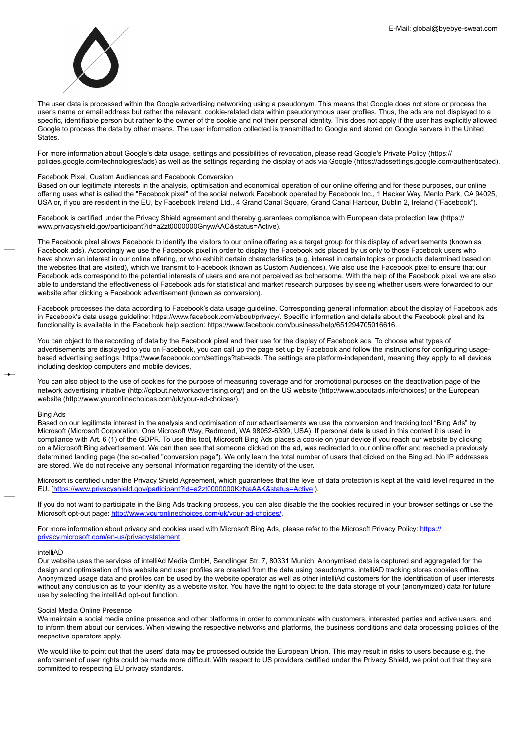

The user data is processed within the Google advertising networking using a pseudonym. This means that Google does not store or process the user's name or email address but rather the relevant, cookie-related data within pseudonymous user profiles. Thus, the ads are not displayed to a specific, identifiable person but rather to the owner of the cookie and not their personal identity. This does not apply if the user has explicitly allowed Google to process the data by other means. The user information collected is transmitted to Google and stored on Google servers in the United **States** 

For more information about Google's data usage, settings and possibilities of revocation, please read Google's Private Policy (https:// policies.google.com/technologies/ads) as well as the settings regarding the display of ads via Google (https://adssettings.google.com/authenticated).

## Facebook Pixel, Custom Audiences and Facebook Conversion

Based on our legitimate interests in the analysis, optimisation and economical operation of our online offering and for these purposes, our online offering uses what is called the "Facebook pixel" of the social network Facebook operated by Facebook Inc., 1 Hacker Way, Menlo Park, CA 94025, USA or, if you are resident in the EU, by Facebook Ireland Ltd., 4 Grand Canal Square, Grand Canal Harbour, Dublin 2, Ireland ("Facebook").

Facebook is certified under the Privacy Shield agreement and thereby guarantees compliance with European data protection law (https:// www.privacyshield.gov/participant?id=a2zt0000000GnywAAC&status=Active).

The Facebook pixel allows Facebook to identify the visitors to our online offering as a target group for this display of advertisements (known as Facebook ads). Accordingly we use the Facebook pixel in order to display the Facebook ads placed by us only to those Facebook users who have shown an interest in our online offering, or who exhibit certain characteristics (e.g. interest in certain topics or products determined based on the websites that are visited), which we transmit to Facebook (known as Custom Audiences). We also use the Facebook pixel to ensure that our Facebook ads correspond to the potential interests of users and are not perceived as bothersome. With the help of the Facebook pixel, we are also able to understand the effectiveness of Facebook ads for statistical and market research purposes by seeing whether users were forwarded to our website after clicking a Facebook advertisement (known as conversion).

Facebook processes the data according to Facebook's data usage guideline. Corresponding general information about the display of Facebook ads in Facebook's data usage guideline: https://www.facebook.com/about/privacy/. Specific information and details about the Facebook pixel and its functionality is available in the Facebook help section: https://www.facebook.com/business/help/651294705016616.

You can object to the recording of data by the Facebook pixel and their use for the display of Facebook ads. To choose what types of advertisements are displayed to you on Facebook, you can call up the page set up by Facebook and follow the instructions for configuring usagebased advertising settings: https://www.facebook.com/settings?tab=ads. The settings are platform-independent, meaning they apply to all devices including desktop computers and mobile devices.

You can also object to the use of cookies for the purpose of measuring coverage and for promotional purposes on the deactivation page of the network advertising initiative (http://optout.networkadvertising.org/) and on the US website (http://www.aboutads.info/choices) or the European website (http://www.youronlinechoices.com/uk/your-ad-choices/).

#### Bing Ads

Based on our legitimate interest in the analysis and optimisation of our advertisements we use the conversion and tracking tool "Bing Ads" by Microsoft (Microsoft Corporation, One Microsoft Way, Redmond, WA 98052-6399, USA). If personal data is used in this context it is used in compliance with Art. 6 (1) of the GDPR. To use this tool, Microsoft Bing Ads places a cookie on your device if you reach our website by clicking on a Microsoft Bing advertisement. We can then see that someone clicked on the ad, was redirected to our online offer and reached a previously determined landing page (the so-called "conversion page"). We only learn the total number of users that clicked on the Bing ad. No IP addresses are stored. We do not receive any personal Information regarding the identity of the user.

Microsoft is certified under the Privacy Shield Agreement, which guarantees that the level of data protection is kept at the valid level required in the EU. (<https://www.privacyshield.gov/participant?id=a2zt0000000KzNaAAK&status=Active> ).

If you do not want to participate in the Bing Ads tracking process, you can also disable the the cookies required in your browser settings or use the Microsoft opt-out page: [http://www.youronlinechoices.com/uk/your-ad-choices/.](http://www.youronlinechoices.com/uk/your-ad-choices/)

For more information about privacy and cookies used with Microsoft Bing Ads, please refer to the Microsoft Privacy Policy: [https://](https://privacy.microsoft.com/de-de/privacystatement) [privacy.microsoft.com/en-us/privacystatement](https://privacy.microsoft.com/de-de/privacystatement) .

#### intelliAD

Our website uses the services of intelliAd Media GmbH, Sendlinger Str. 7, 80331 Munich. Anonymised data is captured and aggregated for the design and optimisation of this website and user profiles are created from the data using pseudonyms. intelliAD tracking stores cookies offline. Anonymized usage data and profiles can be used by the website operator as well as other intelliAd customers for the identification of user interests without any conclusion as to your identity as a website visitor. You have the right to object to the data storage of your (anonymized) data for future use by selecting the intelliAd opt-out function.

## Social Media Online Presence

We maintain a social media online presence and other platforms in order to communicate with customers, interested parties and active users, and to inform them about our services. When viewing the respective networks and platforms, the business conditions and data processing policies of the respective operators apply.

We would like to point out that the users' data may be processed outside the European Union. This may result in risks to users because e.g. the enforcement of user rights could be made more difficult. With respect to US providers certified under the Privacy Shield, we point out that they are committed to respecting EU privacy standards.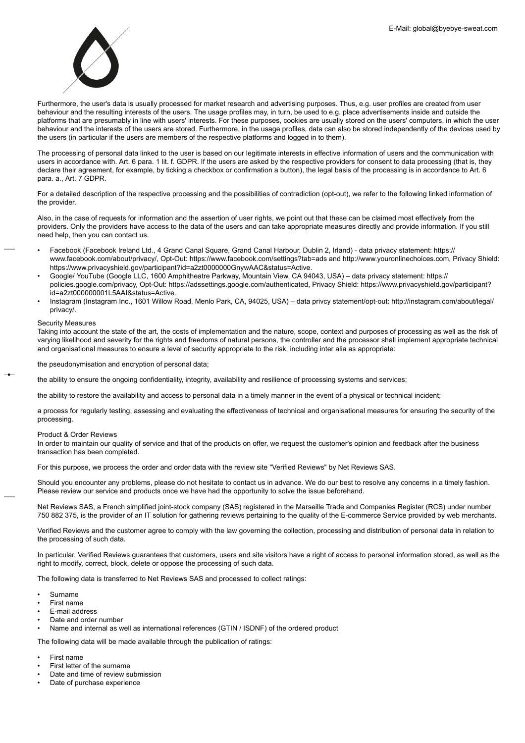

Furthermore, the user's data is usually processed for market research and advertising purposes. Thus, e.g. user profiles are created from user behaviour and the resulting interests of the users. The usage profiles may, in turn, be used to e.g. place advertisements inside and outside the platforms that are presumably in line with users' interests. For these purposes, cookies are usually stored on the users' computers, in which the user behaviour and the interests of the users are stored. Furthermore, in the usage profiles, data can also be stored independently of the devices used by the users (in particular if the users are members of the respective platforms and logged in to them).

The processing of personal data linked to the user is based on our legitimate interests in effective information of users and the communication with users in accordance with. Art. 6 para. 1 lit. f. GDPR. If the users are asked by the respective providers for consent to data processing (that is, they declare their agreement, for example, by ticking a checkbox or confirmation a button), the legal basis of the processing is in accordance to Art. 6 para. a., Art. 7 GDPR.

For a detailed description of the respective processing and the possibilities of contradiction (opt-out), we refer to the following linked information of the provider.

Also, in the case of requests for information and the assertion of user rights, we point out that these can be claimed most effectively from the providers. Only the providers have access to the data of the users and can take appropriate measures directly and provide information. If you still need help, then you can contact us.

- Facebook (Facebook Ireland Ltd., 4 Grand Canal Square, Grand Canal Harbour, Dublin 2, Irland) data privacy statement: https:// www.facebook.com/about/privacy/, Opt-Out: https://www.facebook.com/settings?tab=ads and http://www.youronlinechoices.com, Privacy Shield: https://www.privacyshield.gov/participant?id=a2zt0000000GnywAAC&status=Active.
- Google/ YouTube (Google LLC, 1600 Amphitheatre Parkway, Mountain View, CA 94043, USA) data privacy statement: https:// policies.google.com/privacy, Opt-Out: https://adssettings.google.com/authenticated, Privacy Shield: https://www.privacyshield.gov/participant? id=a2zt000000001L5AAI&status=Active.
- Instagram (Instagram Inc., 1601 Willow Road, Menlo Park, CA, 94025, USA) data privcy statement/opt-out: http://instagram.com/about/legal/ privacy/.

## Security Measures

Taking into account the state of the art, the costs of implementation and the nature, scope, context and purposes of processing as well as the risk of varying likelihood and severity for the rights and freedoms of natural persons, the controller and the processor shall implement appropriate technical and organisational measures to ensure a level of security appropriate to the risk, including inter alia as appropriate:

the pseudonymisation and encryption of personal data;

the ability to ensure the ongoing confidentiality, integrity, availability and resilience of processing systems and services;

the ability to restore the availability and access to personal data in a timely manner in the event of a physical or technical incident;

a process for regularly testing, assessing and evaluating the effectiveness of technical and organisational measures for ensuring the security of the processing.

## Product & Order Reviews

In order to maintain our quality of service and that of the products on offer, we request the customer's opinion and feedback after the business transaction has been completed.

For this purpose, we process the order and order data with the review site "Verified Reviews" by Net Reviews SAS.

Should you encounter any problems, please do not hesitate to contact us in advance. We do our best to resolve any concerns in a timely fashion. Please review our service and products once we have had the opportunity to solve the issue beforehand.

Net Reviews SAS, a French simplified joint-stock company (SAS) registered in the Marseille Trade and Companies Register (RCS) under number 750 882 375, is the provider of an IT solution for gathering reviews pertaining to the quality of the E-commerce Service provided by web merchants.

Verified Reviews and the customer agree to comply with the law governing the collection, processing and distribution of personal data in relation to the processing of such data.

In particular, Verified Reviews guarantees that customers, users and site visitors have a right of access to personal information stored, as well as the right to modify, correct, block, delete or oppose the processing of such data.

The following data is transferred to Net Reviews SAS and processed to collect ratings:

- Surname
- First name
- E-mail address
- Date and order number
- Name and internal as well as international references (GTIN / ISDNF) of the ordered product

The following data will be made available through the publication of ratings:

- First name
- First letter of the surname
- Date and time of review submission
- Date of purchase experience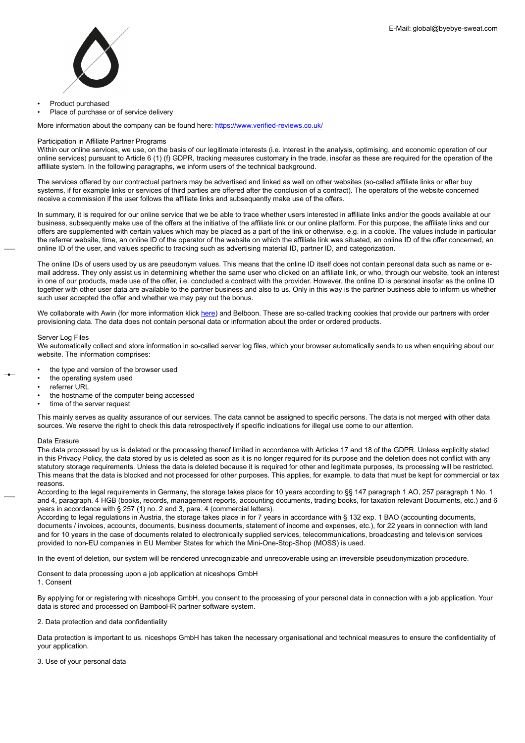

- Product purchased
- Place of purchase or of service delivery

More information about the company can be found here: <https://www.verified-reviews.co.uk/>

## Participation in Affiliate Partner Programs

Within our online services, we use, on the basis of our legitimate interests (i.e. interest in the analysis, optimising, and economic operation of our online services) pursuant to Article 6 (1) (f) GDPR, tracking measures customary in the trade, insofar as these are required for the operation of the affiliate system. In the following paragraphs, we inform users of the technical background.

The services offered by our contractual partners may be advertised and linked as well on other websites (so-called affiliate links or after buy systems, if for example links or services of third parties are offered after the conclusion of a contract). The operators of the website concerned receive a commission if the user follows the affiliate links and subsequently make use of the offers.

In summary, it is required for our online service that we be able to trace whether users interested in affiliate links and/or the goods available at our business, subsequently make use of the offers at the initiative of the affiliate link or our online platform. For this purpose, the affiliate links and our offers are supplemented with certain values which may be placed as a part of the link or otherwise, e.g. in a cookie. The values include in particular the referrer website, time, an online ID of the operator of the website on which the affiliate link was situated, an online ID of the offer concerned, an online ID of the user, and values specific to tracking such as advertising material ID, partner ID, and categorization.

The online IDs of users used by us are pseudonym values. This means that the online ID itself does not contain personal data such as name or email address. They only assist us in determining whether the same user who clicked on an affiliate link, or who, through our website, took an interest in one of our products, made use of the offer, i.e. concluded a contract with the provider. However, the online ID is personal insofar as the online ID together with other user data are available to the partner business and also to us. Only in this way is the partner business able to inform us whether such user accepted the offer and whether we may pay out the bonus.

We collaborate with Awin (for more information klick [here\)](#page-0-0) and Belboon. These are so-called tracking cookies that provide our partners with order provisioning data. The data does not contain personal data or information about the order or ordered products.

#### Server Log Files

We automatically collect and store information in so-called server log files, which your browser automatically sends to us when enquiring about our website. The information comprises:

- the type and version of the browser used
- the operating system used
- referrer URL
- the hostname of the computer being accessed
- time of the server request

This mainly serves as quality assurance of our services. The data cannot be assigned to specific persons. The data is not merged with other data sources. We reserve the right to check this data retrospectively if specific indications for illegal use come to our attention.

## Data Erasure

The data processed by us is deleted or the processing thereof limited in accordance with Articles 17 and 18 of the GDPR. Unless explicitly stated in this Privacy Policy, the data stored by us is deleted as soon as it is no longer required for its purpose and the deletion does not conflict with any statutory storage requirements. Unless the data is deleted because it is required for other and legitimate purposes, its processing will be restricted. This means that the data is blocked and not processed for other purposes. This applies, for example, to data that must be kept for commercial or tax reasons.

According to the legal requirements in Germany, the storage takes place for 10 years according to §§ 147 paragraph 1 AO, 257 paragraph 1 No. 1 and 4, paragraph. 4 HGB (books, records, management reports, accounting documents, trading books, for taxation relevant Documents, etc.) and 6 years in accordance with § 257 (1) no. 2 and 3, para. 4 (commercial letters).

According to legal regulations in Austria, the storage takes place in for 7 years in accordance with § 132 exp. 1 BAO (accounting documents, documents / invoices, accounts, documents, business documents, statement of income and expenses, etc.), for 22 years in connection with land and for 10 years in the case of documents related to electronically supplied services, telecommunications, broadcasting and television services provided to non-EU companies in EU Member States for which the Mini-One-Stop-Shop (MOSS) is used.

In the event of deletion, our system will be rendered unrecognizable and unrecoverable using an irreversible pseudonymization procedure.

Consent to data processing upon a job application at niceshops GmbH 1. Consent

By applying for or registering with niceshops GmbH, you consent to the processing of your personal data in connection with a job application. Your data is stored and processed on BambooHR partner software system.

2. Data protection and data confidentiality

Data protection is important to us. niceshops GmbH has taken the necessary organisational and technical measures to ensure the confidentiality of your application.

3. Use of your personal data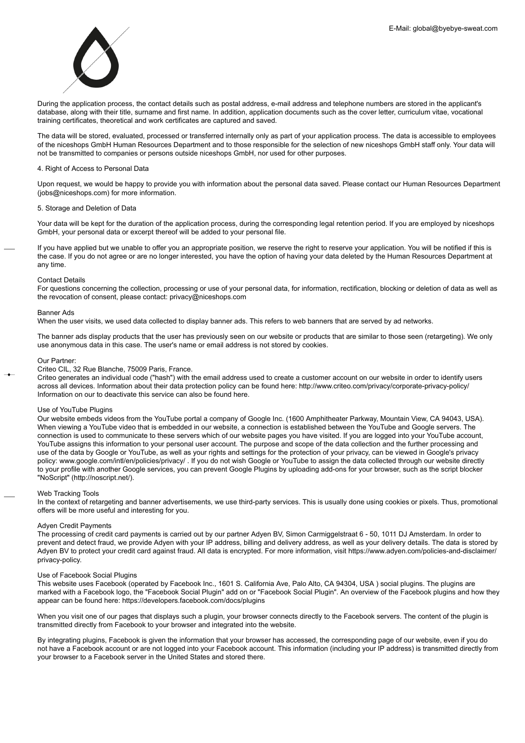

During the application process, the contact details such as postal address, e-mail address and telephone numbers are stored in the applicant's database, along with their title, surname and first name. In addition, application documents such as the cover letter, curriculum vitae, vocational training certificates, theoretical and work certificates are captured and saved.

The data will be stored, evaluated, processed or transferred internally only as part of your application process. The data is accessible to employees of the niceshops GmbH Human Resources Department and to those responsible for the selection of new niceshops GmbH staff only. Your data will not be transmitted to companies or persons outside niceshops GmbH, nor used for other purposes.

# 4. Right of Access to Personal Data

Upon request, we would be happy to provide you with information about the personal data saved. Please contact our Human Resources Department (jobs@niceshops.com) for more information.

# 5. Storage and Deletion of Data

Your data will be kept for the duration of the application process, during the corresponding legal retention period. If you are employed by niceshops GmbH, your personal data or excerpt thereof will be added to your personal file.

If you have applied but we unable to offer you an appropriate position, we reserve the right to reserve your application. You will be notified if this is the case. If you do not agree or are no longer interested, you have the option of having your data deleted by the Human Resources Department at any time.

#### Contact Details

For questions concerning the collection, processing or use of your personal data, for information, rectification, blocking or deletion of data as well as the revocation of consent, please contact: privacy@niceshops.com

## Banner Ads

When the user visits, we used data collected to display banner ads. This refers to web banners that are served by ad networks.

The banner ads display products that the user has previously seen on our website or products that are similar to those seen (retargeting). We only use anonymous data in this case. The user's name or email address is not stored by cookies.

#### Our Partner:

Criteo CIL, 32 Rue Blanche, 75009 Paris, France.

Criteo generates an individual code ("hash") with the email address used to create a customer account on our website in order to identify users across all devices. Information about their data protection policy can be found here: http://www.criteo.com/privacy/corporate-privacy-policy/ Information on our to deactivate this service can also be found here.

## Use of YouTube Plugins

Our website embeds videos from the YouTube portal a company of Google Inc. (1600 Amphitheater Parkway, Mountain View, CA 94043, USA). When viewing a YouTube video that is embedded in our website, a connection is established between the YouTube and Google servers. The connection is used to communicate to these servers which of our website pages you have visited. If you are logged into your YouTube account, YouTube assigns this information to your personal user account. The purpose and scope of the data collection and the further processing and use of the data by Google or YouTube, as well as your rights and settings for the protection of your privacy, can be viewed in Google's privacy policy: www.google.com/intl/en/policies/privacy/ . If you do not wish Google or YouTube to assign the data collected through our website directly to your profile with another Google services, you can prevent Google Plugins by uploading add-ons for your browser, such as the script blocker "NoScript" (http://noscript.net/).

#### Web Tracking Tools

In the context of retargeting and banner advertisements, we use third-party services. This is usually done using cookies or pixels. Thus, promotional offers will be more useful and interesting for you.

# Adyen Credit Payments

The processing of credit card payments is carried out by our partner Adyen BV, Simon Carmiggelstraat 6 - 50, 1011 DJ Amsterdam. In order to prevent and detect fraud, we provide Adyen with your IP address, billing and delivery address, as well as your delivery details. The data is stored by Adyen BV to protect your credit card against fraud. All data is encrypted. For more information, visit https://www.adyen.com/policies-and-disclaimer/ privacy-policy.

## Use of Facebook Social Plugins

This website uses Facebook (operated by Facebook Inc., 1601 S. California Ave, Palo Alto, CA 94304, USA ) social plugins. The plugins are marked with a Facebook logo, the "Facebook Social Plugin" add on or "Facebook Social Plugin". An overview of the Facebook plugins and how they appear can be found here: https://developers.facebook.com/docs/plugins

When you visit one of our pages that displays such a plugin, your browser connects directly to the Facebook servers. The content of the plugin is transmitted directly from Facebook to your browser and integrated into the website.

By integrating plugins, Facebook is given the information that your browser has accessed, the corresponding page of our website, even if you do not have a Facebook account or are not logged into your Facebook account. This information (including your IP address) is transmitted directly from your browser to a Facebook server in the United States and stored there.